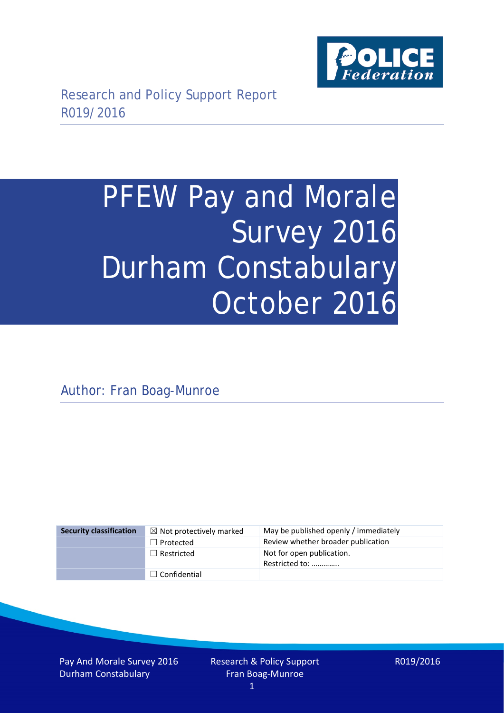

# PFEW Pay and Morale Survey 2016 Durham Constabulary October 2016

Author: Fran Boag-Munroe

| <b>Security classification</b> | $\boxtimes$ Not protectively marked | May be published openly / immediately       |
|--------------------------------|-------------------------------------|---------------------------------------------|
|                                | $\Box$ Protected                    | Review whether broader publication          |
|                                | $\Box$ Restricted                   | Not for open publication.<br>Restricted to: |
|                                | $\Box$ Confidential                 |                                             |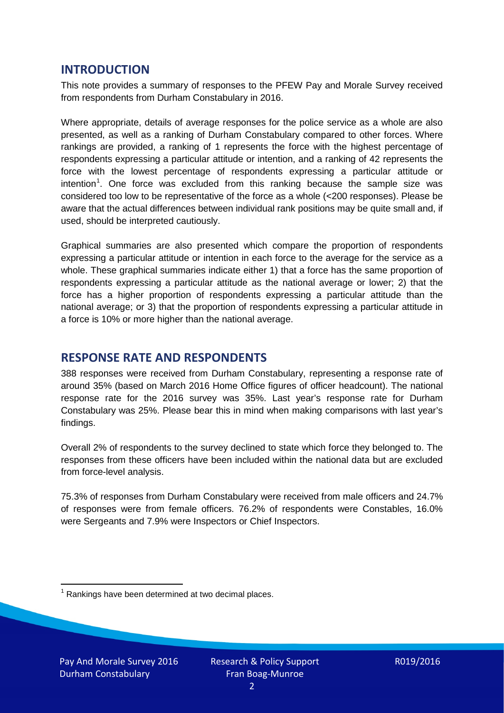## **INTRODUCTION**

This note provides a summary of responses to the PFEW Pay and Morale Survey received from respondents from Durham Constabulary in 2016.

Where appropriate, details of average responses for the police service as a whole are also presented, as well as a ranking of Durham Constabulary compared to other forces. Where rankings are provided, a ranking of 1 represents the force with the highest percentage of respondents expressing a particular attitude or intention, and a ranking of 42 represents the force with the lowest percentage of respondents expressing a particular attitude or intention<sup>[1](#page-1-0)</sup>. One force was excluded from this ranking because the sample size was considered too low to be representative of the force as a whole (<200 responses). Please be aware that the actual differences between individual rank positions may be quite small and, if used, should be interpreted cautiously.

Graphical summaries are also presented which compare the proportion of respondents expressing a particular attitude or intention in each force to the average for the service as a whole. These graphical summaries indicate either 1) that a force has the same proportion of respondents expressing a particular attitude as the national average or lower; 2) that the force has a higher proportion of respondents expressing a particular attitude than the national average; or 3) that the proportion of respondents expressing a particular attitude in a force is 10% or more higher than the national average.

## **RESPONSE RATE AND RESPONDENTS**

388 responses were received from Durham Constabulary, representing a response rate of around 35% (based on March 2016 Home Office figures of officer headcount). The national response rate for the 2016 survey was 35%. Last year's response rate for Durham Constabulary was 25%. Please bear this in mind when making comparisons with last year's findings.

Overall 2% of respondents to the survey declined to state which force they belonged to. The responses from these officers have been included within the national data but are excluded from force-level analysis.

75.3% of responses from Durham Constabulary were received from male officers and 24.7% of responses were from female officers. 76.2% of respondents were Constables, 16.0% were Sergeants and 7.9% were Inspectors or Chief Inspectors.

<span id="page-1-0"></span> $1$  Rankings have been determined at two decimal places.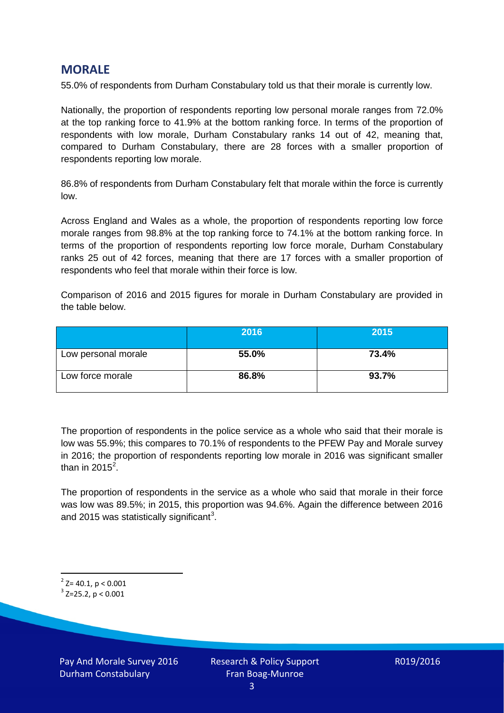## **MORALE**

55.0% of respondents from Durham Constabulary told us that their morale is currently low.

Nationally, the proportion of respondents reporting low personal morale ranges from 72.0% at the top ranking force to 41.9% at the bottom ranking force. In terms of the proportion of respondents with low morale, Durham Constabulary ranks 14 out of 42, meaning that, compared to Durham Constabulary, there are 28 forces with a smaller proportion of respondents reporting low morale.

86.8% of respondents from Durham Constabulary felt that morale within the force is currently low.

Across England and Wales as a whole, the proportion of respondents reporting low force morale ranges from 98.8% at the top ranking force to 74.1% at the bottom ranking force. In terms of the proportion of respondents reporting low force morale, Durham Constabulary ranks 25 out of 42 forces, meaning that there are 17 forces with a smaller proportion of respondents who feel that morale within their force is low.

Comparison of 2016 and 2015 figures for morale in Durham Constabulary are provided in the table below.

|                     | 2016  | 2015  |
|---------------------|-------|-------|
| Low personal morale | 55.0% | 73.4% |
| Low force morale    | 86.8% | 93.7% |

The proportion of respondents in the police service as a whole who said that their morale is low was 55.9%; this compares to 70.1% of respondents to the PFEW Pay and Morale survey in 2016; the proportion of respondents reporting low morale in 2016 was significant smaller than in [2](#page-2-0)015 $^2$ .

The proportion of respondents in the service as a whole who said that morale in their force was low was 89.5%; in 2015, this proportion was 94.6%. Again the difference between 2016 and 2015 was statistically significant<sup>[3](#page-2-1)</sup>.

<span id="page-2-0"></span> $2$ <sup>2</sup> Z= 40.1, p < 0.001

<span id="page-2-1"></span> $3$  Z=25.2, p < 0.001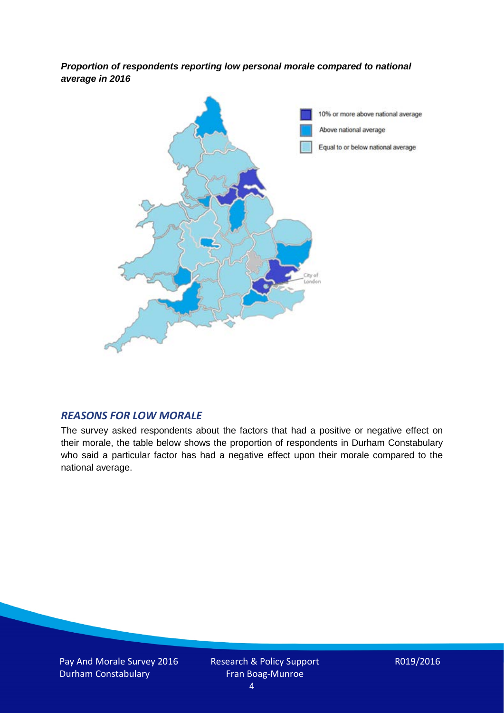*Proportion of respondents reporting low personal morale compared to national average in 2016*



#### *REASONS FOR LOW MORALE*

The survey asked respondents about the factors that had a positive or negative effect on their morale, the table below shows the proportion of respondents in Durham Constabulary who said a particular factor has had a negative effect upon their morale compared to the national average.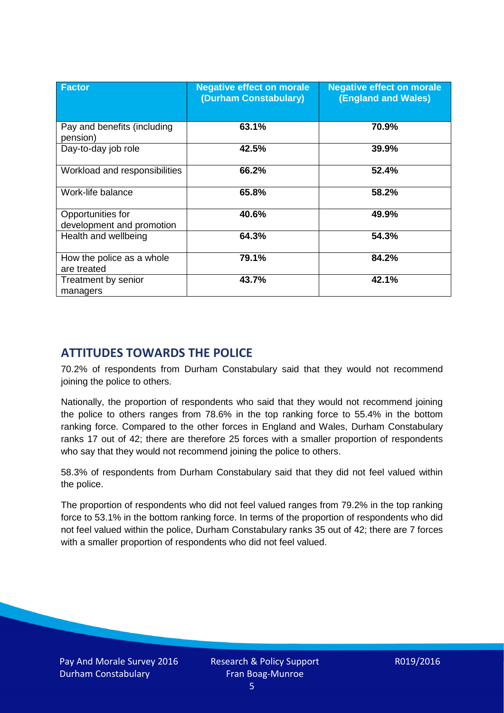| <b>Factor</b>                                  | <b>Negative effect on morale</b><br>(Durham Constabulary) | <b>Negative effect on morale</b><br><b>(England and Wales)</b> |
|------------------------------------------------|-----------------------------------------------------------|----------------------------------------------------------------|
| Pay and benefits (including<br>pension)        | 63.1%                                                     | 70.9%                                                          |
| Day-to-day job role                            | 42.5%                                                     | 39.9%                                                          |
| Workload and responsibilities                  | 66.2%                                                     | 52.4%                                                          |
| Work-life balance                              | 65.8%                                                     | 58.2%                                                          |
| Opportunities for<br>development and promotion | 40.6%                                                     | 49.9%                                                          |
| Health and wellbeing                           | 64.3%                                                     | 54.3%                                                          |
| How the police as a whole<br>are treated       | 79.1%                                                     | 84.2%                                                          |
| Treatment by senior<br>managers                | 43.7%                                                     | 42.1%                                                          |

# **ATTITUDES TOWARDS THE POLICE**

70.2% of respondents from Durham Constabulary said that they would not recommend joining the police to others.

Nationally, the proportion of respondents who said that they would not recommend joining the police to others ranges from 78.6% in the top ranking force to 55.4% in the bottom ranking force. Compared to the other forces in England and Wales, Durham Constabulary ranks 17 out of 42; there are therefore 25 forces with a smaller proportion of respondents who say that they would not recommend joining the police to others.

58.3% of respondents from Durham Constabulary said that they did not feel valued within the police.

The proportion of respondents who did not feel valued ranges from 79.2% in the top ranking force to 53.1% in the bottom ranking force. In terms of the proportion of respondents who did not feel valued within the police, Durham Constabulary ranks 35 out of 42; there are 7 forces with a smaller proportion of respondents who did not feel valued.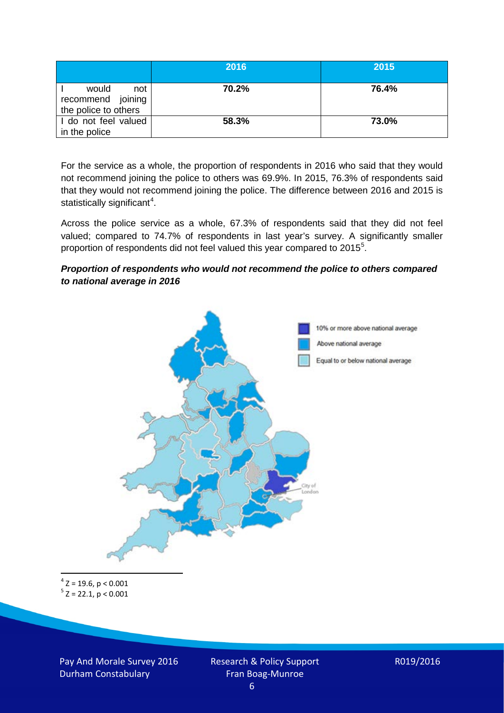|                                                           | 2016  | 2015  |
|-----------------------------------------------------------|-------|-------|
| would<br>not<br>recommend joining<br>the police to others | 70.2% | 76.4% |
| I do not feel valued<br>in the police                     | 58.3% | 73.0% |

For the service as a whole, the proportion of respondents in 2016 who said that they would not recommend joining the police to others was 69.9%. In 2015, 76.3% of respondents said that they would not recommend joining the police. The difference between 2016 and 2015 is statistically significant<sup>[4](#page-5-0)</sup>.

Across the police service as a whole, 67.3% of respondents said that they did not feel valued; compared to 74.7% of respondents in last year's survey. A significantly smaller proportion of respondents did not feel valued this year compared to 201[5](#page-5-1)<sup>5</sup>.

#### *Proportion of respondents who would not recommend the police to others compared to national average in 2016*



<span id="page-5-1"></span><span id="page-5-0"></span> $4$  Z = 19.6, p < 0.001  $5$  Z = 22.1, p < 0.001

Pay And Morale Survey 2016 Durham Constabulary

Research & Policy Support Fran Boag-Munroe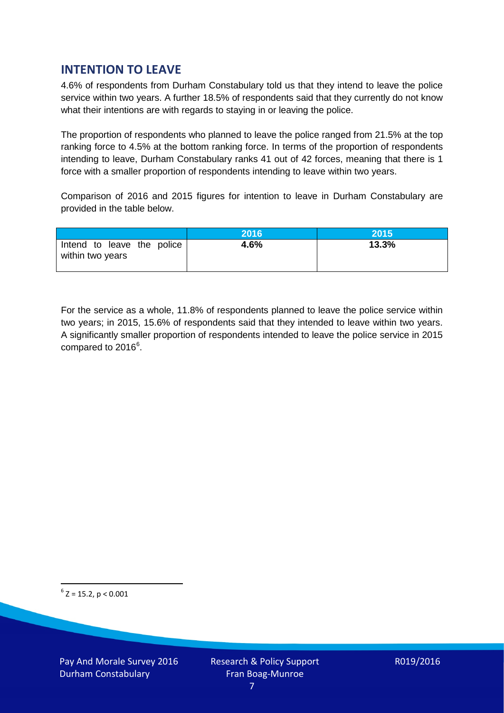# **INTENTION TO LEAVE**

4.6% of respondents from Durham Constabulary told us that they intend to leave the police service within two years. A further 18.5% of respondents said that they currently do not know what their intentions are with regards to staying in or leaving the police.

The proportion of respondents who planned to leave the police ranged from 21.5% at the top ranking force to 4.5% at the bottom ranking force. In terms of the proportion of respondents intending to leave, Durham Constabulary ranks 41 out of 42 forces, meaning that there is 1 force with a smaller proportion of respondents intending to leave within two years.

Comparison of 2016 and 2015 figures for intention to leave in Durham Constabulary are provided in the table below.

|                                                | 2016 | 2015  |
|------------------------------------------------|------|-------|
| Intend to leave the police<br>within two years | 4.6% | 13.3% |

For the service as a whole, 11.8% of respondents planned to leave the police service within two years; in 2015, 15.6% of respondents said that they intended to leave within two years. A significantly smaller proportion of respondents intended to leave the police service in 2015 compared to 201[6](#page-6-0)<sup>6</sup>.

<span id="page-6-0"></span> $6$  Z = 15.2, p < 0.001

Pay And Morale Survey 2016 Durham Constabulary

Research & Policy Support Fran Boag-Munroe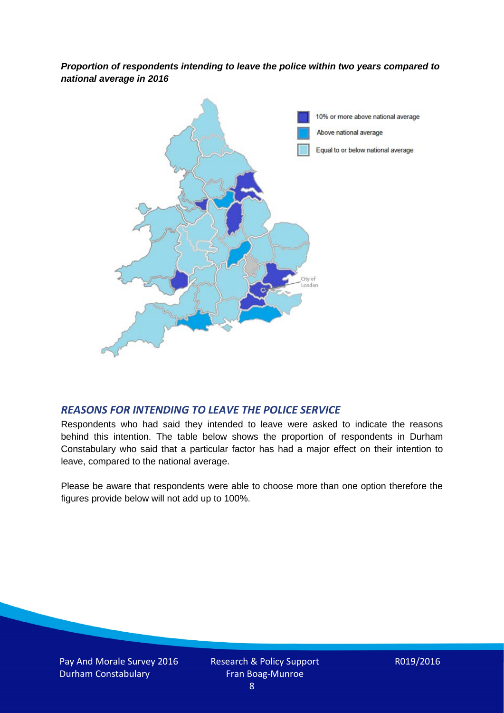*Proportion of respondents intending to leave the police within two years compared to national average in 2016*



### *REASONS FOR INTENDING TO LEAVE THE POLICE SERVICE*

Respondents who had said they intended to leave were asked to indicate the reasons behind this intention. The table below shows the proportion of respondents in Durham Constabulary who said that a particular factor has had a major effect on their intention to leave, compared to the national average.

Please be aware that respondents were able to choose more than one option therefore the figures provide below will not add up to 100%.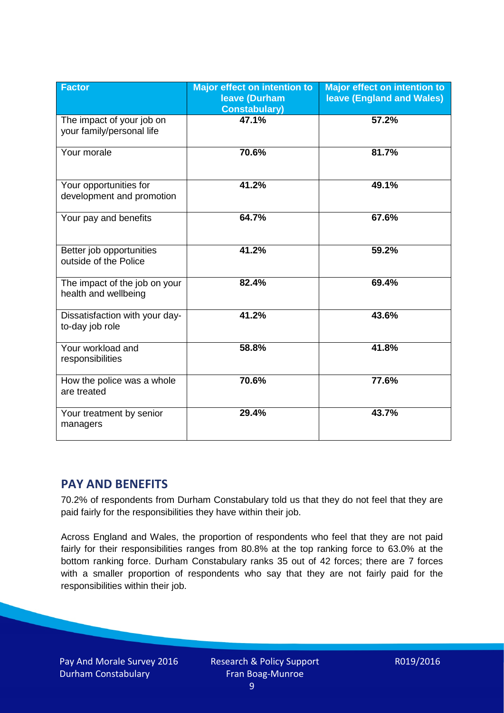| <b>Factor</b>                                          | <b>Major effect on intention to</b><br>leave (Durham<br><b>Constabulary)</b> | <b>Major effect on intention to</b><br><b>leave (England and Wales)</b> |
|--------------------------------------------------------|------------------------------------------------------------------------------|-------------------------------------------------------------------------|
| The impact of your job on<br>your family/personal life | 47.1%                                                                        | 57.2%                                                                   |
| Your morale                                            | 70.6%                                                                        | 81.7%                                                                   |
| Your opportunities for<br>development and promotion    | 41.2%                                                                        | 49.1%                                                                   |
| Your pay and benefits                                  | 64.7%                                                                        | 67.6%                                                                   |
| Better job opportunities<br>outside of the Police      | 41.2%                                                                        | 59.2%                                                                   |
| The impact of the job on your<br>health and wellbeing  | 82.4%                                                                        | 69.4%                                                                   |
| Dissatisfaction with your day-<br>to-day job role      | 41.2%                                                                        | 43.6%                                                                   |
| Your workload and<br>responsibilities                  | 58.8%                                                                        | 41.8%                                                                   |
| How the police was a whole<br>are treated              | 70.6%                                                                        | 77.6%                                                                   |
| Your treatment by senior<br>managers                   | 29.4%                                                                        | 43.7%                                                                   |

# **PAY AND BENEFITS**

70.2% of respondents from Durham Constabulary told us that they do not feel that they are paid fairly for the responsibilities they have within their job.

Across England and Wales, the proportion of respondents who feel that they are not paid fairly for their responsibilities ranges from 80.8% at the top ranking force to 63.0% at the bottom ranking force. Durham Constabulary ranks 35 out of 42 forces; there are 7 forces with a smaller proportion of respondents who say that they are not fairly paid for the responsibilities within their job.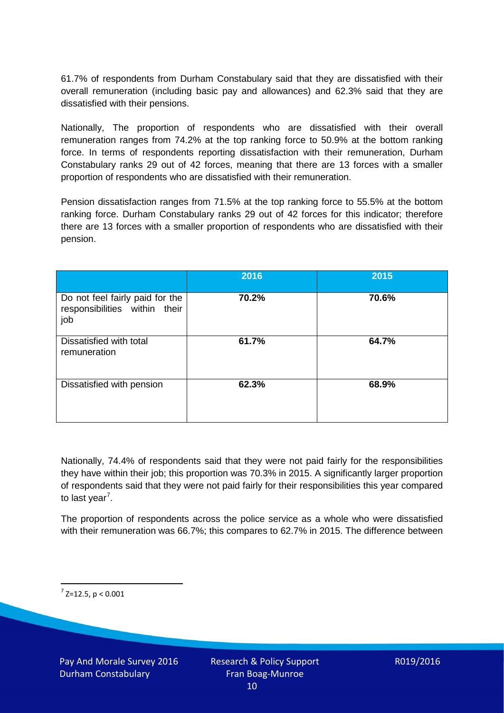61.7% of respondents from Durham Constabulary said that they are dissatisfied with their overall remuneration (including basic pay and allowances) and 62.3% said that they are dissatisfied with their pensions.

Nationally, The proportion of respondents who are dissatisfied with their overall remuneration ranges from 74.2% at the top ranking force to 50.9% at the bottom ranking force. In terms of respondents reporting dissatisfaction with their remuneration, Durham Constabulary ranks 29 out of 42 forces, meaning that there are 13 forces with a smaller proportion of respondents who are dissatisfied with their remuneration.

Pension dissatisfaction ranges from 71.5% at the top ranking force to 55.5% at the bottom ranking force. Durham Constabulary ranks 29 out of 42 forces for this indicator; therefore there are 13 forces with a smaller proportion of respondents who are dissatisfied with their pension.

|                                                                         | 2016  | 2015  |
|-------------------------------------------------------------------------|-------|-------|
| Do not feel fairly paid for the<br>responsibilities within their<br>job | 70.2% | 70.6% |
| Dissatisfied with total<br>remuneration                                 | 61.7% | 64.7% |
| Dissatisfied with pension                                               | 62.3% | 68.9% |

Nationally, 74.4% of respondents said that they were not paid fairly for the responsibilities they have within their job; this proportion was 70.3% in 2015. A significantly larger proportion of respondents said that they were not paid fairly for their responsibilities this year compared to last year<sup>[7](#page-9-0)</sup>.

The proportion of respondents across the police service as a whole who were dissatisfied with their remuneration was 66.7%; this compares to 62.7% in 2015. The difference between

<span id="page-9-0"></span> $7$  Z=12.5, p < 0.001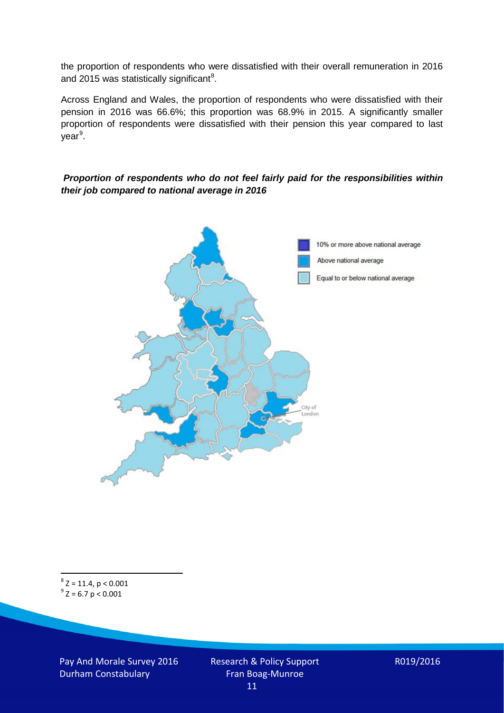the proportion of respondents who were dissatisfied with their overall remuneration in 2016 and 2015 was statistically significant<sup>[8](#page-10-0)</sup>.

Across England and Wales, the proportion of respondents who were dissatisfied with their pension in 2016 was 66.6%; this proportion was 68.9% in 2015. A significantly smaller proportion of respondents were dissatisfied with their pension this year compared to last year<sup>[9](#page-10-1)</sup>.

#### *Proportion of respondents who do not feel fairly paid for the responsibilities within their job compared to national average in 2016*



<span id="page-10-1"></span><span id="page-10-0"></span> $8$  Z = 11.4, p < 0.001  $9^{\circ}$  Z = 6.7 p < 0.001